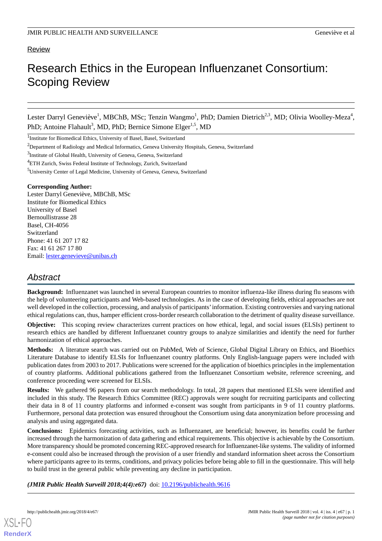# Review

# Research Ethics in the European Influenzanet Consortium: Scoping Review

Lester Darryl Geneviève<sup>1</sup>, MBChB, MSc; Tenzin Wangmo<sup>1</sup>, PhD; Damien Dietrich<sup>2,3</sup>, MD; Olivia Woolley-Meza<sup>4</sup>, PhD; Antoine Flahault<sup>3</sup>, MD, PhD; Bernice Simone Elger<sup>1,5</sup>, MD

<sup>1</sup>Institute for Biomedical Ethics, University of Basel, Basel, Switzerland

<sup>3</sup>Institute of Global Health, University of Geneva, Geneva, Switzerland

#### **Corresponding Author:**

Lester Darryl Geneviève, MBChB, MSc Institute for Biomedical Ethics University of Basel Bernoullistrasse 28 Basel, CH-4056 Switzerland Phone: 41 61 207 17 82 Fax: 41 61 267 17 80 Email: [lester.genevieve@unibas.ch](mailto:lester.genevieve@unibas.ch)

# *Abstract*

**Background:** Influenzanet was launched in several European countries to monitor influenza-like illness during flu seasons with the help of volunteering participants and Web-based technologies. As in the case of developing fields, ethical approaches are not well developed in the collection, processing, and analysis of participants' information. Existing controversies and varying national ethical regulations can, thus, hamper efficient cross-border research collaboration to the detriment of quality disease surveillance.

**Objective:** This scoping review characterizes current practices on how ethical, legal, and social issues (ELSIs) pertinent to research ethics are handled by different Influenzanet country groups to analyze similarities and identify the need for further harmonization of ethical approaches.

**Methods:** A literature search was carried out on PubMed, Web of Science, Global Digital Library on Ethics, and Bioethics Literature Database to identify ELSIs for Influenzanet country platforms. Only English-language papers were included with publication dates from 2003 to 2017. Publications were screened for the application of bioethics principles in the implementation of country platforms. Additional publications gathered from the Influenzanet Consortium website, reference screening, and conference proceeding were screened for ELSIs.

**Results:** We gathered 96 papers from our search methodology. In total, 28 papers that mentioned ELSIs were identified and included in this study. The Research Ethics Committee (REC) approvals were sought for recruiting participants and collecting their data in 8 of 11 country platforms and informed e-consent was sought from participants in 9 of 11 country platforms. Furthermore, personal data protection was ensured throughout the Consortium using data anonymization before processing and analysis and using aggregated data.

**Conclusions:** Epidemics forecasting activities, such as Influenzanet, are beneficial; however, its benefits could be further increased through the harmonization of data gathering and ethical requirements. This objective is achievable by the Consortium. More transparency should be promoted concerning REC-approved research for Influenzanet-like systems. The validity of informed e-consent could also be increased through the provision of a user friendly and standard information sheet across the Consortium where participants agree to its terms, conditions, and privacy policies before being able to fill in the questionnaire. This will help to build trust in the general public while preventing any decline in participation.

*(JMIR Public Health Surveill 2018;4(4):e67)* doi: [10.2196/publichealth.9616](http://dx.doi.org/10.2196/publichealth.9616)

<sup>&</sup>lt;sup>2</sup>Department of Radiology and Medical Informatics, Geneva University Hospitals, Geneva, Switzerland

<sup>&</sup>lt;sup>4</sup>ETH Zurich, Swiss Federal Institute of Technology, Zurich, Switzerland

<sup>5</sup>University Center of Legal Medicine, University of Geneva, Geneva, Switzerland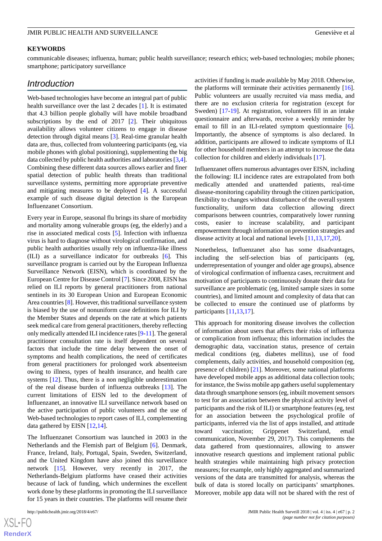#### **KEYWORDS**

communicable diseases; influenza, human; public health surveillance; research ethics; web-based technologies; mobile phones; smartphone; participatory surveillance

# *Introduction*

Web-based technologies have become an integral part of public health surveillance over the last 2 decades [\[1](#page-9-0)]. It is estimated that 4.3 billion people globally will have mobile broadband subscriptions by the end of 2017 [[2\]](#page-9-1). Their ubiquitous availability allows volunteer citizens to engage in disease detection through digital means [[3](#page-9-2)]. Real-time granular health data are, thus, collected from volunteering participants (eg, via mobile phones with global positioning), supplementing the big data collected by public health authorities and laboratories [[3,](#page-9-2)[4\]](#page-9-3). Combining these different data sources allows earlier and finer spatial detection of public health threats than traditional surveillance systems, permitting more appropriate preventive and mitigating measures to be deployed [\[4\]](#page-9-3). A successful example of such disease digital detection is the European Influenzanet Consortium.

Every year in Europe, seasonal flu brings its share of morbidity and mortality among vulnerable groups (eg, the elderly) and a rise in associated medical costs [[5\]](#page-9-4). Infection with influenza virus is hard to diagnose without virological confirmation, and public health authorities usually rely on influenza-like illness (ILI) as a surveillance indicator for outbreaks [[6\]](#page-9-5)*.* This surveillance program is carried out by the European Influenza Surveillance Network (EISN), which is coordinated by the European Centre for Disease Control [\[7](#page-9-6)]. Since 2008, EISN has relied on ILI reports by general practitioners from national sentinels in its 30 European Union and European Economic Area countries [[8\]](#page-9-7). However, this traditional surveillance system is biased by the use of nonuniform case definitions for ILI by the Member States and depends on the rate at which patients seek medical care from general practitioners, thereby reflecting only medically attended ILI incidence rates [[9-](#page-9-8)[11\]](#page-9-9). The general practitioner consultation rate is itself dependent on several factors that include the time delay between the onset of symptoms and health complications, the need of certificates from general practitioners for prolonged work absenteeism owing to illness, types of health insurance, and health care systems [[12\]](#page-9-10). Thus, there is a non negligible underestimation of the real disease burden of influenza outbreaks [\[13](#page-9-11)]. The current limitations of EISN led to the development of Influenzanet, an innovative ILI surveillance network based on the active participation of public volunteers and the use of Web-based technologies to report cases of ILI, complementing data gathered by EISN [\[12](#page-9-10),[14\]](#page-9-12).

The Influenzanet Consortium was launched in 2003 in the Netherlands and the Flemish part of Belgium [\[6](#page-9-5)]. Denmark, France, Ireland, Italy, Portugal, Spain, Sweden, Switzerland, and the United Kingdom have also joined this surveillance network [\[15](#page-9-13)]. However, very recently in 2017, the Netherlands-Belgium platforms have ceased their activities because of lack of funding, which undermines the excellent work done by these platforms in promoting the ILI surveillance for 15 years in their countries. The platforms will resume their

activities if funding is made available by May 2018. Otherwise, the platforms will terminate their activities permanently [[16\]](#page-9-14). Public volunteers are usually recruited via mass media, and there are no exclusion criteria for registration (except for Sweden) [[17-](#page-9-15)[19\]](#page-10-0). At registration, volunteers fill in an intake questionnaire and afterwards, receive a weekly reminder by email to fill in an ILI-related symptom questionnaire [[6\]](#page-9-5). Importantly, the absence of symptoms is also declared. In addition, participants are allowed to indicate symptoms of ILI for other household members in an attempt to increase the data collection for children and elderly individuals [\[17](#page-9-15)].

Influenzanet offers numerous advantages over EISN, including the following: ILI incidence rates are extrapolated from both medically attended and unattended patients, real-time disease-monitoring capability through the citizen participation, flexibility to changes without disturbance of the overall system functionality, uniform data collection allowing direct comparisons between countries, comparatively lower running costs, easier to increase scalability, and participant empowerment through information on prevention strategies and disease activity at local and national levels [\[11](#page-9-9),[13](#page-9-11)[,17](#page-9-15),[20\]](#page-10-1).

Nonetheless, Influenzanet also has some disadvantages, including the self-selection bias of participants (eg, underrepresentation of younger and older age groups), absence of virological confirmation of influenza cases, recruitment and motivation of participants to continuously donate their data for surveillance are problematic (eg, limited sample sizes in some countries), and limited amount and complexity of data that can be collected to ensure the continued use of platforms by participants [\[11](#page-9-9),[13,](#page-9-11)[17](#page-9-15)].

This approach for monitoring disease involves the collection of information about users that affects their risks of influenza or complication from influenza; this information includes the demographic data, vaccination status, presence of certain medical conditions (eg, diabetes mellitus), use of food complements, daily activities, and household composition (eg, presence of children) [[21\]](#page-10-2). Moreover, some national platforms have developed mobile apps as additional data collection tools; for instance, the Swiss mobile app gathers useful supplementary data through smartphone sensors (eg, inbuilt movement sensors to test for an association between the physical activity level of participants and the risk of ILI) or smartphone features (eg, test for an association between the psychological profile of participants, inferred via the list of apps installed, and attitude toward vaccination; Grippenet Switzerland, email communication, November 29, 2017). This complements the data gathered from questionnaires, allowing to answer innovative research questions and implement rational public health strategies while maintaining high privacy protection measures; for example, only highly aggregated and summarized versions of the data are transmitted for analysis, whereas the bulk of data is stored locally on participants' smartphones. Moreover, mobile app data will not be shared with the rest of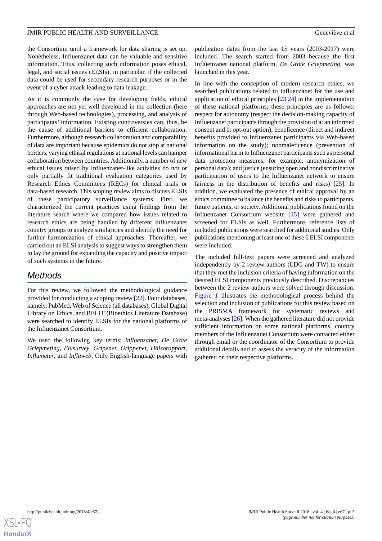the Consortium until a framework for data sharing is set up. Nonetheless, Influenzanet data can be valuable and sensitive information. Thus, collecting such information poses ethical, legal, and social issues (ELSIs), in particular, if the collected data could be used for secondary research purposes or in the event of a cyber attack leading to data leakage.

As it is commonly the case for developing fields, ethical approaches are not yet well developed in the collection (here through Web-based technologies), processing, and analysis of participants' information. Existing controversies can, thus, be the cause of additional barriers to efficient collaboration. Furthermore, although research collaboration and comparability of data are important because epidemics do not stop at national borders, varying ethical regulations at national levels can hamper collaboration between countries. Additionally, a number of new ethical issues raised by Influenzanet-like activities do not or only partially fit traditional evaluation categories used by Research Ethics Committees (RECs) for clinical trials or data-based research. This scoping review aims to discuss ELSIs of these participatory surveillance systems. First, we characterized the current practices using findings from the literature search where we compared how issues related to research ethics are being handled by different Influenzanet country groups to analyze similarities and identify the need for further harmonization of ethical approaches. Thereafter, we carried out an ELSI analysis to suggest ways to strengthen them to lay the ground for expanding the capacity and positive impact of such systems in the future.

# *Methods*

For this review, we followed the methodological guidance provided for conducting a scoping review [\[22](#page-10-3)]. Four databases, namely, PubMed, Web of Science (all databases), Global Digital Library on Ethics, and BELIT (Bioethics Literature Database) were searched to identify ELSIs for the national platforms of the Influenzanet Consortium.

We used the following key terms: *Influenzanet*, *De Grote Griepmeting*, *Flusurvey*, *Gripenet*, *Grippenet*, *Hälsorapport*, *Influmeter*, and *Influweb*. Only English-language papers with

publication dates from the last 15 years (2003-2017) were included. The search started from 2003 because the first Influenzanet national platform, *De Grote Griepmeting*, was launched in this year.

In line with the conception of modern research ethics, we searched publications related to Influenzanet for the use and application of ethical principles [\[23](#page-10-4),[24\]](#page-10-5) in the implementation of these national platforms; these principles are as follows: respect for autonomy (respect the decision-making capacity of Influenzanet participants through the provision of a: an informed consent and b: opt-out option); beneficence (direct and indirect benefits provided to Influenzanet participants via Web-based information on the study); nonmaleficence (prevention of informational harm to Influenzanet participants such as personal data protection measures, for example, anonymization of personal data); and justice (ensuring open and nondiscriminative participation of users to the Influenzanet network to ensure fairness in the distribution of benefits and risks) [\[25](#page-10-6)]. In addition, we evaluated the presence of ethical approval by an ethics committee to balance the benefits and risks to participants, future patients, or society. Additional publications found on the Influenzanet Consortium website [[15\]](#page-9-13) were gathered and screened for ELSIs as well. Furthermore, reference lists of included publications were searched for additional studies. Only publications mentioning at least one of these 6 ELSI components were included.

The included full-text papers were screened and analyzed independently by 2 review authors (LDG and TW) to ensure that they met the inclusion criteria of having information on the desired ELSI components previously described. Discrepancies between the 2 review authors were solved through discussion. [Figure 1](#page-3-0) illustrates the methodological process behind the selection and inclusion of publications for this review based on the PRISMA framework for systematic reviews and meta-analyses [\[26](#page-10-7)]. When the gathered literature did not provide sufficient information on some national platforms, country members of the Influenzanet Consortium were contacted either through email or the coordinator of the Consortium to provide additional details and to assess the veracity of the information gathered on their respective platforms.

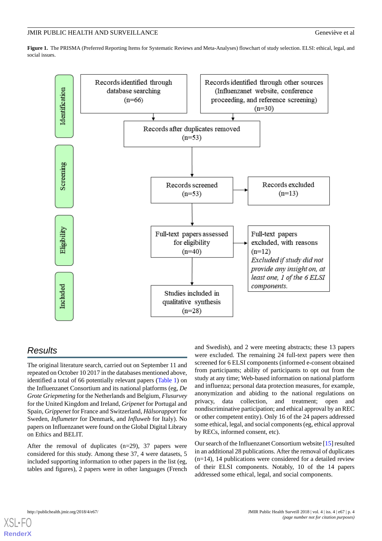<span id="page-3-0"></span>**Figure 1.** The PRISMA (Preferred Reporting Items for Systematic Reviews and Meta-Analyses) flowchart of study selection. ELSI: ethical, legal, and social issues.



# *Results*

The original literature search, carried out on September 11 and repeated on October 10 2017 in the databases mentioned above, identified a total of 66 potentially relevant papers [\(Table 1\)](#page-4-0) on the Influenzanet Consortium and its national platforms (eg, *De Grote Griepmeting* for the Netherlands and Belgium, *Flusurvey* for the United Kingdom and Ireland, *Gripenet* for Portugal and Spain, *Grippenet* for France and Switzerland, *Hälsorapport* for Sweden, *Influmeter* for Denmark, and *Influweb* for Italy). No papers on Influenzanet were found on the Global Digital Library on Ethics and BELIT.

After the removal of duplicates (n=29), 37 papers were considered for this study. Among these 37, 4 were datasets, 5 included supporting information to other papers in the list (eg, tables and figures), 2 papers were in other languages (French

and Swedish), and 2 were meeting abstracts; these 13 papers were excluded. The remaining 24 full-text papers were then screened for 6 ELSI components (informed e-consent obtained from participants; ability of participants to opt out from the study at any time; Web-based information on national platform and influenza; personal data protection measures, for example, anonymization and abiding to the national regulations on privacy, data collection, and treatment; open and nondiscriminative participation; and ethical approval by an REC or other competent entity). Only 16 of the 24 papers addressed some ethical, legal, and social components (eg, ethical approval by RECs, informed consent, etc).

Our search of the Influenzanet Consortium website [[15](#page-9-13)] resulted in an additional 28 publications. After the removal of duplicates  $(n=14)$ , 14 publications were considered for a detailed review of their ELSI components. Notably, 10 of the 14 papers addressed some ethical, legal, and social components.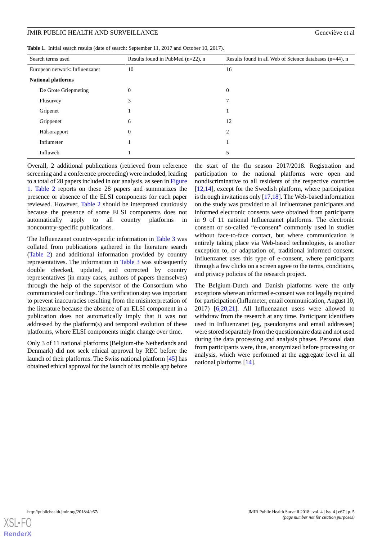<span id="page-4-0"></span>

|  | Table 1. Initial search results (date of search: September 11, 2017 and October 10, 2017). |  |  |  |  |  |
|--|--------------------------------------------------------------------------------------------|--|--|--|--|--|
|--|--------------------------------------------------------------------------------------------|--|--|--|--|--|

| Search terms used              | Results found in PubMed $(n=22)$ , n | Results found in all Web of Science databases $(n=44)$ , n |  |  |  |
|--------------------------------|--------------------------------------|------------------------------------------------------------|--|--|--|
| European network: Influenzanet | 10                                   | 16                                                         |  |  |  |
| <b>National platforms</b>      |                                      |                                                            |  |  |  |
| De Grote Griepmeting           | $\overline{0}$                       | $\Omega$                                                   |  |  |  |
| Flusurvey                      | 3                                    | 7                                                          |  |  |  |
| Gripenet                       |                                      |                                                            |  |  |  |
| Grippenet                      | 6                                    | 12                                                         |  |  |  |
| Hälsorapport                   | $\mathbf{0}$                         | 2                                                          |  |  |  |
| Influmeter                     |                                      |                                                            |  |  |  |
| Influweb                       |                                      | 5                                                          |  |  |  |

Overall, 2 additional publications (retrieved from reference screening and a conference proceeding) were included, leading to a total of 28 papers included in our analysis, as seen in [Figure](#page-3-0) [1.](#page-3-0) [Table 2](#page-5-0) reports on these 28 papers and summarizes the presence or absence of the ELSI components for each paper reviewed. However, [Table 2](#page-5-0) should be interpreted cautiously because the presence of some ELSI components does not automatically apply to all country platforms in noncountry-specific publications.

The Influenzanet country-specific information in [Table 3](#page-6-0) was collated from publications gathered in the literature search ([Table 2](#page-5-0)) and additional information provided by country representatives. The information in [Table 3](#page-6-0) was subsequently double checked, updated, and corrected by country representatives (in many cases, authors of papers themselves) through the help of the supervisor of the Consortium who communicated our findings. This verification step was important to prevent inaccuracies resulting from the misinterpretation of the literature because the absence of an ELSI component in a publication does not automatically imply that it was not addressed by the platform(s) and temporal evolution of these platforms, where ELSI components might change over time.

Only 3 of 11 national platforms (Belgium-the Netherlands and Denmark) did not seek ethical approval by REC before the launch of their platforms. The Swiss national platform [[45\]](#page-11-0) has obtained ethical approval for the launch of its mobile app before

the start of the flu season 2017/2018. Registration and participation to the national platforms were open and nondiscriminative to all residents of the respective countries [[12,](#page-9-10)[14\]](#page-9-12), except for the Swedish platform, where participation is through invitations only [[17](#page-9-15)[,18](#page-10-8)]. The Web-based information on the study was provided to all Influenzanet participants and informed electronic consents were obtained from participants in 9 of 11 national Influenzanet platforms. The electronic consent or so-called "e-consent" commonly used in studies without face-to-face contact, but where communication is entirely taking place via Web-based technologies, is another exception to, or adaptation of, traditional informed consent. Influenzanet uses this type of e-consent, where participants through a few clicks on a screen agree to the terms, conditions, and privacy policies of the research project.

The Belgium-Dutch and Danish platforms were the only exceptions where an informed e-consent was not legally required for participation (Influmeter, email communication, August 10, 2017) [[6,](#page-9-5)[20](#page-10-1),[21\]](#page-10-2). All Influenzanet users were allowed to withdraw from the research at any time. Participant identifiers used in Influenzanet (eg, pseudonyms and email addresses) were stored separately from the questionnaire data and not used during the data processing and analysis phases. Personal data from participants were, thus, anonymized before processing or analysis, which were performed at the aggregate level in all national platforms [\[14](#page-9-12)].

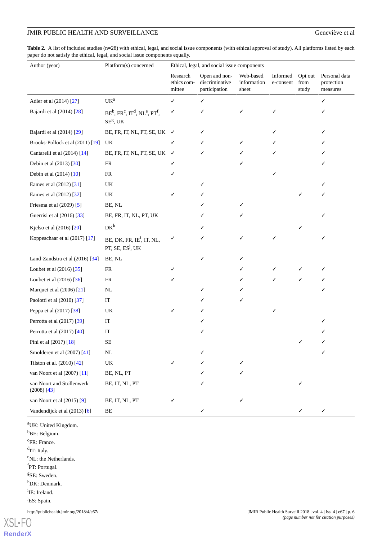<span id="page-5-0"></span>Table 2. A list of included studies (n=28) with ethical, legal, and social issue components (with ethical approval of study). All platforms listed by each paper do not satisfy the ethical, legal, and social issue components equally.

| Author (year)                              | Platform(s) concerned                                                 | Ethical, legal, and social issue components |                                                  |                                   |                       |                          |                                         |
|--------------------------------------------|-----------------------------------------------------------------------|---------------------------------------------|--------------------------------------------------|-----------------------------------|-----------------------|--------------------------|-----------------------------------------|
|                                            |                                                                       | Research<br>ethics com-<br>mittee           | Open and non-<br>discriminative<br>participation | Web-based<br>information<br>sheet | Informed<br>e-consent | Opt out<br>from<br>study | Personal data<br>protection<br>measures |
| Adler et al (2014) [27]                    | UK <sup>a</sup>                                                       | ✓                                           | ✓                                                |                                   |                       |                          | ✓                                       |
| Bajardi et al (2014) [28]                  | $BE^b$ , $FR^c$ , $IT^d$ , $NL^e$ , $PT^f$ ,<br>$SE^{g}$ , UK         | ✓                                           |                                                  |                                   | ✓                     |                          |                                         |
| Bajardi et al (2014) [29]                  | BE, FR, IT, NL, PT, SE, UK $\checkmark$                               |                                             |                                                  |                                   |                       |                          |                                         |
| Brooks-Pollock et al (2011) [19]           | UK                                                                    | ✓                                           |                                                  |                                   |                       |                          |                                         |
| Cantarelli et al (2014) [14]               | BE, FR, IT, NL, PT, SE, UK                                            | $\checkmark$                                | ✓                                                |                                   |                       |                          |                                         |
| Debin et al (2013) [30]                    | FR                                                                    | ✓                                           |                                                  |                                   |                       |                          |                                         |
| Debin et al (2014) [10]                    | FR                                                                    | ✓                                           |                                                  |                                   |                       |                          |                                         |
| Eames et al (2012) [31]                    | UK                                                                    |                                             |                                                  |                                   |                       |                          |                                         |
| Eames et al (2012) [32]                    | UK                                                                    |                                             |                                                  |                                   |                       |                          |                                         |
| Friesma et al (2009) [5]                   | BE, NL                                                                |                                             |                                                  | ✓                                 |                       |                          |                                         |
| Guerrisi et al (2016) [33]                 | BE, FR, IT, NL, PT, UK                                                |                                             |                                                  |                                   |                       |                          | ✓                                       |
| Kjelso et al (2016) [20]                   | $DK^h$                                                                |                                             |                                                  |                                   |                       |                          |                                         |
| Koppeschaar et al (2017) [17]              | BE, DK, FR, IE <sup>i</sup> , IT, NL,<br>PT, SE, ES <sup>j</sup> , UK | ✓                                           |                                                  | ✓                                 | ✓                     |                          | ✓                                       |
| Land-Zandstra et al (2016) [34]            | BE, NL                                                                |                                             |                                                  |                                   |                       |                          |                                         |
| Loubet et al (2016) [35]                   | FR                                                                    |                                             |                                                  |                                   | ✓                     |                          | ✓                                       |
| Loubet et al (2016) [36]                   | FR                                                                    |                                             |                                                  |                                   | ✓                     | ✓                        |                                         |
| Marquet et al (2006) [21]                  | NL                                                                    |                                             | ✓                                                |                                   |                       |                          | ✓                                       |
| Paolotti et al (2010) [37]                 | IT                                                                    |                                             |                                                  | ✓                                 |                       |                          |                                         |
| Peppa et al (2017) [38]                    | UK                                                                    | ✓                                           |                                                  |                                   | ✓                     |                          |                                         |
| Perrotta et al (2017) [39]                 | IT                                                                    |                                             |                                                  |                                   |                       |                          |                                         |
| Perrotta et al (2017) [40]                 | IT                                                                    |                                             |                                                  |                                   |                       |                          |                                         |
| Pini et al (2017) [18]                     | $\rm SE$                                                              |                                             |                                                  |                                   |                       |                          | ✓                                       |
| Smolderen et al (2007) [41]                | NL                                                                    |                                             |                                                  |                                   |                       |                          | ✓                                       |
| Tilston et al. (2010) [42]                 | $\ensuremath{\mathsf{UK}}\xspace$                                     |                                             |                                                  |                                   |                       |                          |                                         |
| van Noort et al (2007) [11]                | BE, NL, PT                                                            |                                             |                                                  | ✓                                 |                       |                          |                                         |
| van Noort and Stollenwerk<br>$(2008)$ [43] | BE, IT, NL, PT                                                        |                                             |                                                  |                                   |                       |                          |                                         |
| van Noort et al (2015) [9]                 | BE, IT, NL, PT                                                        | ✓                                           |                                                  | ✓                                 |                       |                          |                                         |
| Vandendijck et al (2013) [6]               | BE                                                                    |                                             | ✓                                                |                                   |                       |                          | ✓                                       |

<sup>a</sup>UK: United Kingdom. <sup>b</sup>BE: Belgium. <sup>c</sup>FR: France. <sup>d</sup>IT: Italy. <sup>e</sup>NL: the Netherlands. f<sub>PT</sub>: Portugal. g SE: Sweden. <sup>h</sup>DK: Denmark. <sup>i</sup>IE: Ireland.

<sup>j</sup>ES: Spain.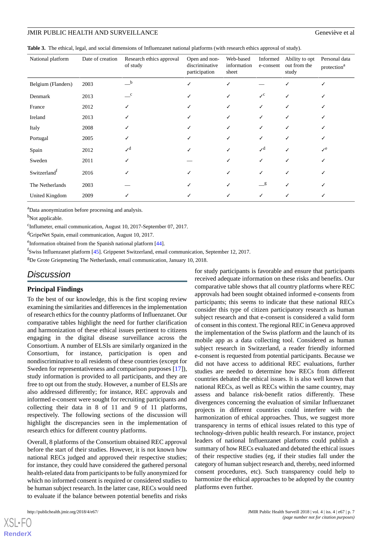<span id="page-6-0"></span>

| Table 3. The ethical, legal, and social dimensions of Influenzanet national platforms (with research ethics approval of study). |  |  |  |
|---------------------------------------------------------------------------------------------------------------------------------|--|--|--|
|---------------------------------------------------------------------------------------------------------------------------------|--|--|--|

| National platform        | Date of creation | Research ethics approval<br>of study | Open and non-<br>discriminative<br>participation | Web-based<br>information<br>sheet | Informed<br>e-consent    | Ability to opt<br>out from the<br>study | Personal data<br>protection <sup>a</sup> |
|--------------------------|------------------|--------------------------------------|--------------------------------------------------|-----------------------------------|--------------------------|-----------------------------------------|------------------------------------------|
| Belgium (Flanders)       | 2003             | b                                    |                                                  | √                                 |                          |                                         |                                          |
| Denmark                  | 2013             | $\mathbf c$                          |                                                  |                                   | $\mathcal{S}^{\rm c}$    |                                         |                                          |
| France                   | 2012             | ✓                                    |                                                  |                                   | ✓                        |                                         |                                          |
| Ireland                  | 2013             |                                      |                                                  |                                   | ✓                        |                                         |                                          |
| Italy                    | 2008             |                                      |                                                  |                                   | ✓                        |                                         |                                          |
| Portugal                 | 2005             |                                      |                                                  |                                   | ✓                        |                                         |                                          |
| Spain                    | 2012             | $\mathcal{L}^d$                      |                                                  |                                   | $\mathcal{S}^{\text{d}}$ |                                         | $\mathcal{L}^e$                          |
| Sweden                   | 2011             | √                                    |                                                  |                                   | ✓                        |                                         |                                          |
| Switzerland <sup>1</sup> | 2016             |                                      |                                                  |                                   | ✓                        |                                         |                                          |
| The Netherlands          | 2003             |                                      |                                                  |                                   | g                        |                                         |                                          |
| United Kingdom           | 2009             |                                      |                                                  |                                   |                          |                                         |                                          |

<sup>a</sup>Data anonymization before processing and analysis.

<sup>b</sup>Not applicable.

c Influmeter, email communication, August 10, 2017-September 07, 2017.

<sup>d</sup>GripeNet Spain, email communication, August 10, 2017.

eInformation obtained from the Spanish national platform [[44](#page-11-5)].

<sup>f</sup>Swiss Influenzanet platform [[45](#page-11-0)]. Grippenet Switzerland, email communication, September 12, 2017.

 ${}^{g}$ De Grote Griepmeting The Netherlands, email communication, January 10, 2018.

# *Discussion*

#### **Principal Findings**

To the best of our knowledge, this is the first scoping review examining the similarities and differences in the implementation of research ethics for the country platforms of Influenzanet. Our comparative tables highlight the need for further clarification and harmonization of these ethical issues pertinent to citizens engaging in the digital disease surveillance across the Consortium. A number of ELSIs are similarly organized in the Consortium, for instance, participation is open and nondiscriminative to all residents of these countries (except for Sweden for representativeness and comparison purposes [\[17](#page-9-15)]), study information is provided to all participants, and they are free to opt out from the study. However, a number of ELSIs are also addressed differently; for instance, REC approvals and informed e-consent were sought for recruiting participants and collecting their data in 8 of 11 and 9 of 11 platforms, respectively. The following sections of the discussion will highlight the discrepancies seen in the implementation of research ethics for different country platforms.

Overall, 8 platforms of the Consortium obtained REC approval before the start of their studies. However, it is not known how national RECs judged and approved their respective studies; for instance, they could have considered the gathered personal health-related data from participants to be fully anonymized for which no informed consent is required or considered studies to be human subject research. In the latter case, RECs would need to evaluate if the balance between potential benefits and risks

for study participants is favorable and ensure that participants received adequate information on these risks and benefits. Our comparative table shows that all country platforms where REC approvals had been sought obtained informed e-consents from participants; this seems to indicate that these national RECs consider this type of citizen participatory research as human subject research and that e-consent is considered a valid form of consent in this context. The regional REC in Geneva approved the implementation of the Swiss platform and the launch of its mobile app as a data collecting tool. Considered as human subject research in Switzerland, a reader friendly informed e-consent is requested from potential participants. Because we did not have access to additional REC evaluations, further studies are needed to determine how RECs from different countries debated the ethical issues. It is also well known that national RECs, as well as RECs within the same country, may assess and balance risk-benefit ratios differently. These divergences concerning the evaluation of similar Influenzanet projects in different countries could interfere with the harmonization of ethical approaches. Thus, we suggest more transparency in terms of ethical issues related to this type of technology-driven public health research. For instance, project leaders of national Influenzanet platforms could publish a summary of how RECs evaluated and debated the ethical issues of their respective studies (eg, if their studies fall under the category of human subject research and, thereby, need informed consent procedures, etc). Such transparency could help to harmonize the ethical approaches to be adopted by the country platforms even further.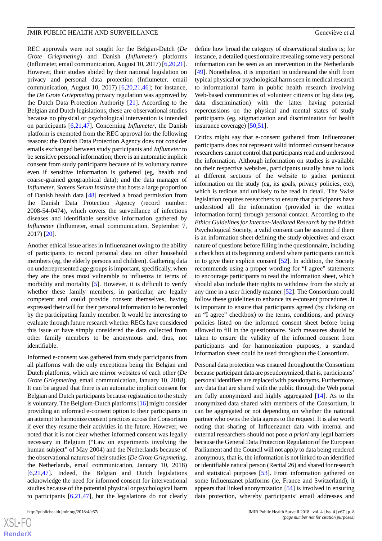REC approvals were not sought for the Belgian-Dutch (*De Grote Griepmeting*) and Danish (*Influmeter*) platforms (Influmeter, email communication, August 10, 2017) [\[6,](#page-9-5)[20](#page-10-1),[21\]](#page-10-2). However, their studies abided by their national legislation on privacy and personal data protection (Influmeter, email communication, August 10, 2017) [\[6](#page-9-5),[20,](#page-10-1)[21](#page-10-2),[46\]](#page-11-6); for instance, the *De Grote Griepmeting* privacy regulation was approved by the Dutch Data Protection Authority [[21\]](#page-10-2). According to the Belgian and Dutch legislations, these are observational studies because no physical or psychological intervention is intended on participants [[6](#page-9-5)[,21](#page-10-2),[47\]](#page-11-7). Concerning *Influmeter*, the Danish platform is exempted from the REC approval for the following reasons: the Danish Data Protection Agency does not consider emails exchanged between study participants and *Influmeter* to be sensitive personal information; there is an automatic implicit consent from study participants because of its voluntary nature even if sensitive information is gathered (eg, health and coarse-grained geographical data); and the data manager of *Influmeter*, *Statens Serum Institute* that hosts a large proportion of Danish health data [\[48](#page-11-8)] received a broad permission from the Danish Data Protection Agency (record number: 2008-54-0474), which covers the surveillance of infectious diseases and identifiable sensitive information gathered by *Influmeter* (Influmeter, email communication, September 7, 2017) [[20\]](#page-10-1).

Another ethical issue arises in Influenzanet owing to the ability of participants to record personal data on other household members (eg, the elderly persons and children). Gathering data on underrepresented age groups is important, specifically, when they are the ones most vulnerable to influenza in terms of morbidity and mortality [[5\]](#page-9-4). However, it is difficult to verify whether these family members, in particular, are legally competent and could provide consent themselves, having expressed their will for their personal information to be recorded by the participating family member. It would be interesting to evaluate through future research whether RECs have considered this issue or have simply considered the data collected from other family members to be anonymous and, thus, not identifiable.

Informed e-consent was gathered from study participants from all platforms with the only exceptions being the Belgian and Dutch platforms, which are mirror websites of each other (*De Grote Griepmeting*, email communication, January 10, 2018). It can be argued that there is an automatic implicit consent for Belgian and Dutch participants because registration to the study is voluntary. The Belgium-Dutch platforms [[16\]](#page-9-14) might consider providing an informed e-consent option to their participants in an attempt to harmonize consent practices across the Consortium if ever they resume their activities in the future. However, we noted that it is not clear whether informed consent was legally necessary in Belgium ("Law on experiments involving the human subject" of May 2004) and the Netherlands because of the observational natures of their studies (*De Grote Griepmeting*, the Netherlands, email communication, January 10, 2018) [[6](#page-9-5)[,21](#page-10-2),[47\]](#page-11-7). Indeed, the Belgian and Dutch legislations acknowledge the need for informed consent for interventional studies because of the potential physical or psychological harm to participants [\[6](#page-9-5),[21,](#page-10-2)[47](#page-11-7)], but the legislations do not clearly

define how broad the category of observational studies is; for instance, a detailed questionnaire revealing some very personal information can be seen as an intervention in the Netherlands [[49\]](#page-11-9). Nonetheless, it is important to understand the shift from typical physical or psychological harm seen in medical research to informational harm in public health research involving Web-based communities of volunteer citizens or big data (eg, data discrimination) with the latter having potential repercussions on the physical and mental states of study participants (eg, stigmatization and discrimination for health insurance coverage) [\[50](#page-11-10),[51\]](#page-11-11).

Critics might say that e-consent gathered from Influenzanet participants does not represent valid informed consent because researchers cannot control that participants read and understood the information. Although information on studies is available on their respective websites, participants usually have to look at different sections of the website to gather pertinent information on the study (eg, its goals, privacy policies, etc), which is tedious and unlikely to be read in detail. The Swiss legislation requires researchers to ensure that participants have understood all the information (provided in the written information form) through personal contact. According to the *Ethics Guidelines for Internet-Mediated Research* by the British Psychological Society, a valid consent can be assumed if there is an information sheet defining the study objectives and exact nature of questions before filling in the questionnaire, including a check box at its beginning and end where participants can tick in to give their explicit consent [[52\]](#page-11-12). In addition, the Society recommends using a proper wording for "I agree" statements to encourage participants to read the information sheet, which should also include their rights to withdraw from the study at any time in a user friendly manner [\[52](#page-11-12)]. The Consortium could follow these guidelines to enhance its e-consent procedures. It is important to ensure that participants agreed (by clicking on an "I agree" checkbox) to the terms, conditions, and privacy policies listed on the informed consent sheet before being allowed to fill in the questionnaire. Such measures should be taken to ensure the validity of the informed consent from participants and for harmonization purposes, a standard information sheet could be used throughout the Consortium.

Personal data protection was ensured throughout the Consortium because participant data are pseudonymized, that is, participants' personal identifiers are replaced with pseudonyms. Furthermore, any data that are shared with the public through the Web portal are fully anonymized and highly aggregated [\[14](#page-9-12)]. As to the anonymized data shared with members of the Consortium, it can be aggregated or not depending on whether the national partner who owns the data agrees to the request. It is also worth noting that sharing of Influenzanet data with internal and external researchers should not pose *a priori* any legal barriers because the General Data Protection Regulation of the European Parliament and the Council will not apply to data being rendered anonymous, that is, the information is not linked to an identified or identifiable natural person (Recital 26) and shared for research and statistical purposes [\[53](#page-11-13)]. From information gathered on some Influenzanet platforms (ie, France and Switzerland), it appears that linked anonymization [\[54](#page-11-14)] is involved in ensuring data protection, whereby participants' email addresses and

 $XS$ -FO **[RenderX](http://www.renderx.com/)**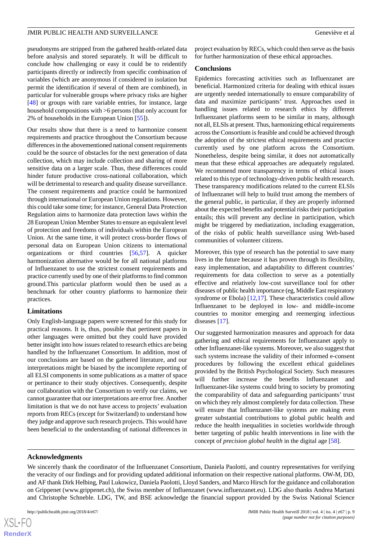pseudonyms are stripped from the gathered health-related data before analysis and stored separately. It will be difficult to conclude how challenging or easy it could be to reidentify participants directly or indirectly from specific combination of variables (which are anonymous if considered in isolation but permit the identification if several of them are combined), in particular for vulnerable groups where privacy risks are higher [[48\]](#page-11-8) or groups with rare variable entries, for instance, large household compositions with >6 persons (that only account for 2% of households in the European Union [\[55](#page-11-15)]).

Our results show that there is a need to harmonize consent requirements and practice throughout the Consortium because differences in the abovementioned national consent requirements could be the source of obstacles for the next generation of data collection, which may include collection and sharing of more sensitive data on a larger scale. Thus, these differences could hinder future productive cross-national collaboration, which will be detrimental to research and quality disease surveillance. The consent requirements and practice could be harmonized through international or European Union regulations. However, this could take some time; for instance, General Data Protection Regulation aims to harmonize data protection laws within the 28 European Union Member States to ensure an equivalent level of protection and freedoms of individuals within the European Union. At the same time, it will protect cross-border flows of personal data on European Union citizens to international organizations or third countries [\[56](#page-11-16),[57\]](#page-11-17). A quicker harmonization alternative would be for all national platforms of Influenzanet to use the strictest consent requirements and practice currently used by one of their platforms to find common ground.This particular platform would then be used as a benchmark for other country platforms to harmonize their practices.

#### **Limitations**

Only English-language papers were screened for this study for practical reasons. It is, thus, possible that pertinent papers in other languages were omitted but they could have provided better insight into how issues related to research ethics are being handled by the Influenzanet Consortium. In addition, most of our conclusions are based on the gathered literature, and our interpretations might be biased by the incomplete reporting of all ELSI components in some publications as a matter of space or pertinance to their study objectives. Consequently, despite our collaboration with the Consortium to verify our claims, we cannot guarantee that our interpretations are error free. Another limitation is that we do not have access to projects' evaluation reports from RECs (except for Switzerland) to understand how they judge and approve such research projects. This would have been beneficial to the understanding of national differences in

project evaluation by RECs, which could then serve as the basis for further harmonization of these ethical approaches.

#### **Conclusions**

Epidemics forecasting activities such as Influenzanet are beneficial. Harmonized criteria for dealing with ethical issues are urgently needed internationally to ensure comparability of data and maximize participants' trust. Approaches used in handling issues related to research ethics by different Influenzanet platforms seem to be similar in many, although not all, ELSIs at present. Thus, harmonizing ethical requirements across the Consortium is feasible and could be achieved through the adoption of the strictest ethical requirements and practice currently used by one platform across the Consortium. Nonetheless, despite being similar, it does not automatically mean that these ethical approaches are adequately regulated. We recommend more transparency in terms of ethical issues related to this type of technology-driven public health research. These transparency modifications related to the current ELSIs of Influenzanet will help to build trust among the members of the general public, in particular, if they are properly informed about the expected benefits and potential risks their participation entails; this will prevent any decline in participation, which might be triggered by mediatization, including exaggeration, of the risks of public health surveillance using Web-based communities of volunteer citizens.

Moreover, this type of research has the potential to save many lives in the future because it has proven through its flexibility, easy implementation, and adaptability to different countries' requirements for data collection to serve as a potentially effective and relatively low-cost surveillance tool for other diseases of public health importance (eg, Middle East respiratory syndrome or Ebola) [\[12](#page-9-10),[17\]](#page-9-15). These characteristics could allow Influenzanet to be deployed in low- and middle-income countries to monitor emerging and reemerging infectious diseases [\[17](#page-9-15)].

Our suggested harmonization measures and approach for data gathering and ethical requirements for Influenzanet apply to other Influenzanet-like systems. Moreover, we also suggest that such systems increase the validity of their informed e-consent procedures by following the excellent ethical guidelines provided by the British Psychological Society. Such measures will further increase the benefits Influenzanet and Influenzanet-like systems could bring to society by promoting the comparability of data and safeguarding participants' trust on which they rely almost completely for data collection. These will ensure that Influenzanet-like systems are making even greater substantial contributions to global public health and reduce the health inequalities in societies worldwide through better targeting of public health interventions in line with the concept of *precision global health* in the digital age [[58\]](#page-11-18).

#### **Acknowledgments**

We sincerely thank the coordinator of the Influenzanet Consortium, Daniela Paolotti, and country representatives for verifying the veracity of our findings and for providing updated additional information on their respective national platforms. OW-M, DD, and AF thank Dirk Helbing, Paul Lukowicz, Daniela Paolotti, Lloyd Sanders, and Marco Hirsch for the guidance and collaboration on Grippenet (www.grippenet.ch), the Swiss member of Influenzanet (www.influenzanet.eu). LDG also thanks Andrea Martani and Christophe Schneble. LDG, TW, and BSE acknowledge the financial support provided by the Swiss National Science

 $XS$ -FO **[RenderX](http://www.renderx.com/)**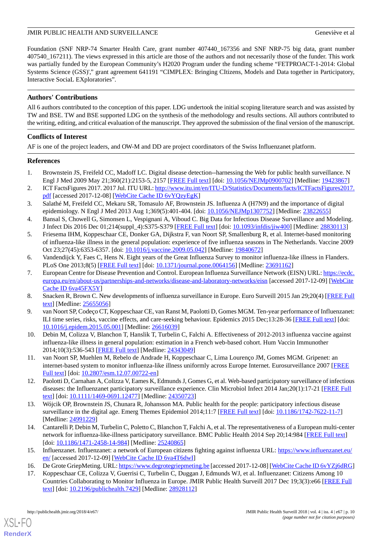Foundation (SNF NRP-74 Smarter Health Care, grant number 407440\_167356 and SNF NRP-75 big data, grant number 407540\_167211). The views expressed in this article are those of the authors and not necessarily those of the funder. This work was partially funded by the European Community's H2020 Program under the funding scheme "FETPROACT-1-2014: Global Systems Science (GSS)'," grant agreement 641191 "CIMPLEX: Bringing CItizens, Models and Data together in Participatory, Interactive SociaL EXploratories".

# **Authors' Contributions**

All 6 authors contributed to the conception of this paper. LDG undertook the initial scoping literature search and was assisted by TW and BSE. TW and BSE supported LDG on the synthesis of the methodology and results sections. All authors contributed to the writing, editing, and critical evaluation of the manuscript. They approved the submission of the final version of the manuscript.

# **Conflicts of Interest**

AF is one of the project leaders, and OW-M and DD are project coordinators of the Swiss Influenzanet platform.

# <span id="page-9-0"></span>**References**

- <span id="page-9-1"></span>1. Brownstein JS, Freifeld CC, Madoff LC. Digital disease detection--harnessing the Web for public health surveillance. N Engl J Med 2009 May 21;360(21):2153-5, 2157 [[FREE Full text](http://europepmc.org/abstract/MED/19423867)] [doi: [10.1056/NEJMp0900702\]](http://dx.doi.org/10.1056/NEJMp0900702) [Medline: [19423867\]](http://www.ncbi.nlm.nih.gov/entrez/query.fcgi?cmd=Retrieve&db=PubMed&list_uids=19423867&dopt=Abstract)
- <span id="page-9-2"></span>2. ICT FactsFigures 2017. 2017 Jul. ITU URL: [http://www.itu.int/en/ITU-D/Statistics/Documents/facts/ICTFactsFigures2017.](http://www.itu.int/en/ITU-D/Statistics/Documents/facts/ICTFactsFigures2017.pdf) [pdf](http://www.itu.int/en/ITU-D/Statistics/Documents/facts/ICTFactsFigures2017.pdf) [accessed 2017-12-08] [[WebCite Cache ID 6vYQzyEgK\]](http://www.webcitation.org/

                                6vYQzyEgK)
- <span id="page-9-4"></span><span id="page-9-3"></span>3. Salathé M, Freifeld CC, Mekaru SR, Tomasulo AF, Brownstein JS. Influenza A (H7N9) and the importance of digital epidemiology. N Engl J Med 2013 Aug 1;369(5):401-404. [doi: [10.1056/NEJMp1307752\]](http://dx.doi.org/10.1056/NEJMp1307752) [Medline: [23822655](http://www.ncbi.nlm.nih.gov/entrez/query.fcgi?cmd=Retrieve&db=PubMed&list_uids=23822655&dopt=Abstract)]
- 4. Bansal S, Chowell G, Simonsen L, Vespignani A, Viboud C. Big Data for Infectious Disease Surveillance and Modeling. J Infect Dis 2016 Dec 01;214(suppl\_4):S375-S379 [\[FREE Full text\]](http://europepmc.org/abstract/MED/28830113) [doi: [10.1093/infdis/jiw400\]](http://dx.doi.org/10.1093/infdis/jiw400) [Medline: [28830113](http://www.ncbi.nlm.nih.gov/entrez/query.fcgi?cmd=Retrieve&db=PubMed&list_uids=28830113&dopt=Abstract)]
- <span id="page-9-5"></span>5. Friesema IHM, Koppeschaar CE, Donker GA, Dijkstra F, van Noort SP, Smallenburg R, et al. Internet-based monitoring of influenza-like illness in the general population: experience of five influenza seasons in The Netherlands. Vaccine 2009 Oct 23;27(45):6353-6357. [doi: [10.1016/j.vaccine.2009.05.042\]](http://dx.doi.org/10.1016/j.vaccine.2009.05.042) [Medline: [19840672](http://www.ncbi.nlm.nih.gov/entrez/query.fcgi?cmd=Retrieve&db=PubMed&list_uids=19840672&dopt=Abstract)]
- <span id="page-9-6"></span>6. Vandendijck Y, Faes C, Hens N. Eight years of the Great Influenza Survey to monitor influenza-like illness in Flanders. PLoS One 2013;8(5) [[FREE Full text](http://dx.plos.org/10.1371/journal.pone.0064156)] [doi: [10.1371/journal.pone.0064156](http://dx.doi.org/10.1371/journal.pone.0064156)] [Medline: [23691162](http://www.ncbi.nlm.nih.gov/entrez/query.fcgi?cmd=Retrieve&db=PubMed&list_uids=23691162&dopt=Abstract)]
- <span id="page-9-8"></span><span id="page-9-7"></span>7. European Centre for Disease Prevention and Control. European Influenza Surveillance Network (EISN) URL: [https://ecdc.](https://ecdc.europa.eu/en/about-us/partnerships-and-networks/disease-and-laboratory-networks/eisn) [europa.eu/en/about-us/partnerships-and-networks/disease-and-laboratory-networks/eisn](https://ecdc.europa.eu/en/about-us/partnerships-and-networks/disease-and-laboratory-networks/eisn) [accessed 2017-12-09] [\[WebCite](http://www.webcitation.org/

                                6va45FX5Y) [Cache ID 6va45FX5Y](http://www.webcitation.org/

                                6va45FX5Y)]
- <span id="page-9-16"></span>8. Snacken R, Brown C. New developments of influenza surveillance in Europe. Euro Surveill 2015 Jan 29;20(4) [[FREE Full](http://www.eurosurveillance.org/ViewArticle.aspx?ArticleId=21020) [text](http://www.eurosurveillance.org/ViewArticle.aspx?ArticleId=21020)] [Medline: [25655056](http://www.ncbi.nlm.nih.gov/entrez/query.fcgi?cmd=Retrieve&db=PubMed&list_uids=25655056&dopt=Abstract)]
- <span id="page-9-9"></span>9. van Noort SP, Codeço CT, Koppeschaar CE, van Ranst M, Paolotti D, Gomes MGM. Ten-year performance of Influenzanet: ILI time series, risks, vaccine effects, and care-seeking behaviour. Epidemics 2015 Dec;13:28-36 [\[FREE Full text\]](https://linkinghub.elsevier.com/retrieve/pii/S1755-4365(15)00063-8) [doi: [10.1016/j.epidem.2015.05.001](http://dx.doi.org/10.1016/j.epidem.2015.05.001)] [Medline: [26616039\]](http://www.ncbi.nlm.nih.gov/entrez/query.fcgi?cmd=Retrieve&db=PubMed&list_uids=26616039&dopt=Abstract)
- <span id="page-9-10"></span>10. Debin M, Colizza V, Blanchon T, Hanslik T, Turbelin C, Falchi A. Effectiveness of 2012-2013 influenza vaccine against influenza-like illness in general population: estimation in a French web-based cohort. Hum Vaccin Immunother 2014;10(3):536-543 [[FREE Full text](http://europepmc.org/abstract/MED/24343049)] [Medline: [24343049](http://www.ncbi.nlm.nih.gov/entrez/query.fcgi?cmd=Retrieve&db=PubMed&list_uids=24343049&dopt=Abstract)]
- <span id="page-9-11"></span>11. van Noort SP, Muehlen M, Rebelo de Andrade H, Koppeschaar C, Lima Lourenço JM, Gomes MGM. Gripenet: an internet-based system to monitor influenza-like illness uniformly across Europe Internet. Eurosurveillance 2007 [[FREE](https://www.eurosurveillance.org/content/10.2807/esm.12.07.00722-en) [Full text\]](https://www.eurosurveillance.org/content/10.2807/esm.12.07.00722-en) [doi: [10.2807/esm.12.07.00722-en\]](http://dx.doi.org/10.2807/esm.12.07.00722-en)
- <span id="page-9-12"></span>12. Paolotti D, Carnahan A, Colizza V, Eames K, Edmunds J, Gomes G, et al. Web-based participatory surveillance of infectious diseases: the Influenzanet participatory surveillance experience. Clin Microbiol Infect 2014 Jan;20(1):17-21 [\[FREE Full](https://linkinghub.elsevier.com/retrieve/pii/S1198-743X(14)60188-9) [text](https://linkinghub.elsevier.com/retrieve/pii/S1198-743X(14)60188-9)] [doi: [10.1111/1469-0691.12477\]](http://dx.doi.org/10.1111/1469-0691.12477) [Medline: [24350723](http://www.ncbi.nlm.nih.gov/entrez/query.fcgi?cmd=Retrieve&db=PubMed&list_uids=24350723&dopt=Abstract)]
- <span id="page-9-13"></span>13. Wójcik OP, Brownstein JS, Chunara R, Johansson MA. Public health for the people: participatory infectious disease surveillance in the digital age. Emerg Themes Epidemiol 2014;11:7 [[FREE Full text](https://ete-online.biomedcentral.com/articles/10.1186/1742-7622-11-7)] [doi: [10.1186/1742-7622-11-7\]](http://dx.doi.org/10.1186/1742-7622-11-7) [Medline: [24991229](http://www.ncbi.nlm.nih.gov/entrez/query.fcgi?cmd=Retrieve&db=PubMed&list_uids=24991229&dopt=Abstract)]
- <span id="page-9-15"></span><span id="page-9-14"></span>14. Cantarelli P, Debin M, Turbelin C, Poletto C, Blanchon T, Falchi A, et al. The representativeness of a European multi-center network for influenza-like-illness participatory surveillance. BMC Public Health 2014 Sep 20;14:984 [[FREE Full text](https://bmcpublichealth.biomedcentral.com/articles/10.1186/1471-2458-14-984)] [doi: [10.1186/1471-2458-14-984](http://dx.doi.org/10.1186/1471-2458-14-984)] [Medline: [25240865\]](http://www.ncbi.nlm.nih.gov/entrez/query.fcgi?cmd=Retrieve&db=PubMed&list_uids=25240865&dopt=Abstract)
- 15. Influenzanet. Influenzanet: a network of European citizens fighting against influenza URL: [https://www.influenzanet.eu/](https://www.influenzanet.eu/en/) [en/](https://www.influenzanet.eu/en/) [accessed 2017-12-09] [[WebCite Cache ID 6va4T6dwI\]](http://www.webcitation.org/

                                6va4T6dwI)
- 16. De Grote GriepMeting. URL:<https://www.degrotegriepmeting.be> [accessed 2017-12-08] [[WebCite Cache ID 6vYZj6dRG](http://www.webcitation.org/

                 6vYZj6dRG)]
- 17. Koppeschaar CE, Colizza V, Guerrisi C, Turbelin C, Duggan J, Edmunds WJ, et al. Influenzanet: Citizens Among 10 Countries Collaborating to Monitor Influenza in Europe. JMIR Public Health Surveill 2017 Dec 19;3(3):e66 [[FREE Full](http://publichealth.jmir.org/2017/3/e66/) [text](http://publichealth.jmir.org/2017/3/e66/)] [doi: [10.2196/publichealth.7429\]](http://dx.doi.org/10.2196/publichealth.7429) [Medline: [28928112\]](http://www.ncbi.nlm.nih.gov/entrez/query.fcgi?cmd=Retrieve&db=PubMed&list_uids=28928112&dopt=Abstract)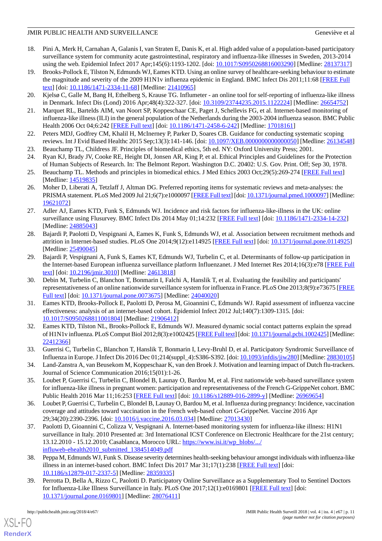- <span id="page-10-8"></span>18. Pini A, Merk H, Carnahan A, Galanis I, van Straten E, Danis K, et al. High added value of a population-based participatory surveillance system for community acute gastrointestinal, respiratory and influenza-like illnesses in Sweden, 2013-2014 using the web. Epidemiol Infect 2017 Apr;145(6):1193-1202. [doi: [10.1017/S0950268816003290\]](http://dx.doi.org/10.1017/S0950268816003290) [Medline: [28137317](http://www.ncbi.nlm.nih.gov/entrez/query.fcgi?cmd=Retrieve&db=PubMed&list_uids=28137317&dopt=Abstract)]
- <span id="page-10-0"></span>19. Brooks-Pollock E, Tilston N, Edmunds WJ, Eames KTD. Using an online survey of healthcare-seeking behaviour to estimate the magnitude and severity of the 2009 H1N1v influenza epidemic in England. BMC Infect Dis 2011;11:68 [\[FREE Full](http://www.biomedcentral.com/1471-2334/11/68) [text](http://www.biomedcentral.com/1471-2334/11/68)] [doi: [10.1186/1471-2334-11-68\]](http://dx.doi.org/10.1186/1471-2334-11-68) [Medline: [21410965\]](http://www.ncbi.nlm.nih.gov/entrez/query.fcgi?cmd=Retrieve&db=PubMed&list_uids=21410965&dopt=Abstract)
- <span id="page-10-2"></span><span id="page-10-1"></span>20. Kjelsø C, Galle M, Bang H, Ethelberg S, Krause TG. Influmeter - an online tool for self-reporting of influenza-like illness in Denmark. Infect Dis (Lond) 2016 Apr;48(4):322-327. [doi: [10.3109/23744235.2015.1122224\]](http://dx.doi.org/10.3109/23744235.2015.1122224) [Medline: [26654752\]](http://www.ncbi.nlm.nih.gov/entrez/query.fcgi?cmd=Retrieve&db=PubMed&list_uids=26654752&dopt=Abstract)
- <span id="page-10-3"></span>21. Marquet RL, Bartelds AIM, van Noort SP, Koppeschaar CE, Paget J, Schellevis FG, et al. Internet-based monitoring of influenza-like illness (ILI) in the general population of the Netherlands during the 2003-2004 influenza season. BMC Public Health 2006 Oct 04;6:242 [\[FREE Full text\]](https://bmcpublichealth.biomedcentral.com/articles/10.1186/1471-2458-6-242) [doi: [10.1186/1471-2458-6-242](http://dx.doi.org/10.1186/1471-2458-6-242)] [Medline: [17018161](http://www.ncbi.nlm.nih.gov/entrez/query.fcgi?cmd=Retrieve&db=PubMed&list_uids=17018161&dopt=Abstract)]
- <span id="page-10-4"></span>22. Peters MDJ, Godfrey CM, Khalil H, McInerney P, Parker D, Soares CB. Guidance for conducting systematic scoping reviews. Int J Evid Based Healthc 2015 Sep;13(3):141-146. [doi: 10.1097/XEB.000000000000000050] [Medline: [26134548](http://www.ncbi.nlm.nih.gov/entrez/query.fcgi?cmd=Retrieve&db=PubMed&list_uids=26134548&dopt=Abstract)]
- <span id="page-10-5"></span>23. Beauchamp TL, Childress JF. Principles of biomedical ethics, 5th ed. NY: Oxford University Press; 2001.
- <span id="page-10-6"></span>24. Ryan KJ, Brady JV, Cooke RE, Height DI, Jonsen AR, King P, et al. Ethical Principles and Guidelines for the Protection of Human Subjects of Research. In: The Belmont Report. Washington D.C. 20402: U.S. Gov. Print. Off; Sep 30, 1978.
- <span id="page-10-7"></span>25. Beauchamp TL. Methods and principles in biomedical ethics. J Med Ethics 2003 Oct;29(5):269-274 [\[FREE Full text\]](http://europepmc.org/abstract/MED/14519835) [Medline: [14519835](http://www.ncbi.nlm.nih.gov/entrez/query.fcgi?cmd=Retrieve&db=PubMed&list_uids=14519835&dopt=Abstract)]
- <span id="page-10-9"></span>26. Moher D, Liberati A, Tetzlaff J, Altman DG. Preferred reporting items for systematic reviews and meta-analyses: the PRISMA statement. PLoS Med 2009 Jul 21;6(7):e1000097 [\[FREE Full text\]](http://dx.plos.org/10.1371/journal.pmed.1000097) [doi: [10.1371/journal.pmed.1000097\]](http://dx.doi.org/10.1371/journal.pmed.1000097) [Medline: [19621072](http://www.ncbi.nlm.nih.gov/entrez/query.fcgi?cmd=Retrieve&db=PubMed&list_uids=19621072&dopt=Abstract)]
- <span id="page-10-10"></span>27. Adler AJ, Eames KTD, Funk S, Edmunds WJ. Incidence and risk factors for influenza-like-illness in the UK: online surveillance using Flusurvey. BMC Infect Dis 2014 May 01;14:232 [\[FREE Full text](https://bmcinfectdis.biomedcentral.com/articles/10.1186/1471-2334-14-232)] [doi: [10.1186/1471-2334-14-232\]](http://dx.doi.org/10.1186/1471-2334-14-232) [Medline: [24885043](http://www.ncbi.nlm.nih.gov/entrez/query.fcgi?cmd=Retrieve&db=PubMed&list_uids=24885043&dopt=Abstract)]
- <span id="page-10-11"></span>28. Bajardi P, Paolotti D, Vespignani A, Eames K, Funk S, Edmunds WJ, et al. Association between recruitment methods and attrition in Internet-based studies. PLoS One 2014;9(12):e114925 [[FREE Full text](http://dx.plos.org/10.1371/journal.pone.0114925)] [doi: [10.1371/journal.pone.0114925\]](http://dx.doi.org/10.1371/journal.pone.0114925) [Medline: [25490045](http://www.ncbi.nlm.nih.gov/entrez/query.fcgi?cmd=Retrieve&db=PubMed&list_uids=25490045&dopt=Abstract)]
- <span id="page-10-12"></span>29. Bajardi P, Vespignani A, Funk S, Eames KT, Edmunds WJ, Turbelin C, et al. Determinants of follow-up participation in the Internet-based European influenza surveillance platform Influenzanet. J Med Internet Res 2014;16(3):e78 [[FREE Full](http://www.jmir.org/2014/3/e78/) [text](http://www.jmir.org/2014/3/e78/)] [doi: [10.2196/jmir.3010](http://dx.doi.org/10.2196/jmir.3010)] [Medline: [24613818](http://www.ncbi.nlm.nih.gov/entrez/query.fcgi?cmd=Retrieve&db=PubMed&list_uids=24613818&dopt=Abstract)]
- <span id="page-10-13"></span>30. Debin M, Turbelin C, Blanchon T, Bonmarin I, Falchi A, Hanslik T, et al. Evaluating the feasibility and participants' representativeness of an online nationwide surveillance system for influenza in France. PLoS One 2013;8(9):e73675 [\[FREE](http://dx.plos.org/10.1371/journal.pone.0073675) [Full text\]](http://dx.plos.org/10.1371/journal.pone.0073675) [doi: [10.1371/journal.pone.0073675](http://dx.doi.org/10.1371/journal.pone.0073675)] [Medline: [24040020](http://www.ncbi.nlm.nih.gov/entrez/query.fcgi?cmd=Retrieve&db=PubMed&list_uids=24040020&dopt=Abstract)]
- <span id="page-10-14"></span>31. Eames KTD, Brooks-Pollock E, Paolotti D, Perosa M, Gioannini C, Edmunds WJ. Rapid assessment of influenza vaccine effectiveness: analysis of an internet-based cohort. Epidemiol Infect 2012 Jul;140(7):1309-1315. [doi: [10.1017/S0950268811001804](http://dx.doi.org/10.1017/S0950268811001804)] [Medline: [21906412](http://www.ncbi.nlm.nih.gov/entrez/query.fcgi?cmd=Retrieve&db=PubMed&list_uids=21906412&dopt=Abstract)]
- <span id="page-10-16"></span><span id="page-10-15"></span>32. Eames KTD, Tilston NL, Brooks-Pollock E, Edmunds WJ. Measured dynamic social contact patterns explain the spread of H1N1v influenza. PLoS Comput Biol 2012;8(3):e1002425 [\[FREE Full text](http://dx.plos.org/10.1371/journal.pcbi.1002425)] [doi: [10.1371/journal.pcbi.1002425](http://dx.doi.org/10.1371/journal.pcbi.1002425)] [Medline: [22412366](http://www.ncbi.nlm.nih.gov/entrez/query.fcgi?cmd=Retrieve&db=PubMed&list_uids=22412366&dopt=Abstract)]
- <span id="page-10-17"></span>33. Guerrisi C, Turbelin C, Blanchon T, Hanslik T, Bonmarin I, Levy-Bruhl D, et al. Participatory Syndromic Surveillance of Influenza in Europe. J Infect Dis 2016 Dec 01;214(suppl\_4):S386-S392. [doi: [10.1093/infdis/jiw280\]](http://dx.doi.org/10.1093/infdis/jiw280) [Medline: [28830105](http://www.ncbi.nlm.nih.gov/entrez/query.fcgi?cmd=Retrieve&db=PubMed&list_uids=28830105&dopt=Abstract)]
- <span id="page-10-18"></span>34. Land-Zanstra A, van Beusekom M, Koppeschaar K, van den Broek J. Motivation and learning impact of Dutch flu-trackers. Journal of Science Communication 2016;15(01):1-26.
- <span id="page-10-19"></span>35. Loubet P, Guerrisi C, Turbelin C, Blondel B, Launay O, Bardou M, et al. First nationwide web-based surveillance system for influenza-like illness in pregnant women: participation and representativeness of the French G-GrippeNet cohort. BMC Public Health 2016 Mar 11;16:253 [[FREE Full text](https://bmcpublichealth.biomedcentral.com/articles/10.1186/s12889-016-2899-y)] [doi: [10.1186/s12889-016-2899-y\]](http://dx.doi.org/10.1186/s12889-016-2899-y) [Medline: [26969654](http://www.ncbi.nlm.nih.gov/entrez/query.fcgi?cmd=Retrieve&db=PubMed&list_uids=26969654&dopt=Abstract)]
- <span id="page-10-20"></span>36. Loubet P, Guerrisi C, Turbelin C, Blondel B, Launay O, Bardou M, et al. Influenza during pregnancy: Incidence, vaccination coverage and attitudes toward vaccination in the French web-based cohort G-GrippeNet. Vaccine 2016 Apr 29;34(20):2390-2396. [doi: [10.1016/j.vaccine.2016.03.034\]](http://dx.doi.org/10.1016/j.vaccine.2016.03.034) [Medline: [27013430\]](http://www.ncbi.nlm.nih.gov/entrez/query.fcgi?cmd=Retrieve&db=PubMed&list_uids=27013430&dopt=Abstract)
- <span id="page-10-21"></span>37. Paolotti D, Gioannini C, Colizza V, Vespignani A. Internet-based monitoring system for influenza-like illness: H1N1 surveillance in Italy. 2010 Presented at: 3rd International ICST Conference on Electronic Healthcare for the 21st century; 13.12.2010 - 15.12.2010; Casablanca, Morocco URL: [https://www.isi.it/wp\\_blobs/.../](https://www.isi.it/wp_blobs/.../influweb-ehealth2010_submitted_1384514049.pdf) [influweb-ehealth2010\\_submitted\\_1384514049.pdf](https://www.isi.it/wp_blobs/.../influweb-ehealth2010_submitted_1384514049.pdf)
- 38. Peppa M, Edmunds WJ, Funk S. Disease severity determines health-seeking behaviour amongst individuals with influenza-like illness in an internet-based cohort. BMC Infect Dis 2017 Mar 31;17(1):238 [\[FREE Full text\]](https://bmcinfectdis.biomedcentral.com/articles/10.1186/s12879-017-2337-5) [doi: [10.1186/s12879-017-2337-5\]](http://dx.doi.org/10.1186/s12879-017-2337-5) [Medline: [28359335](http://www.ncbi.nlm.nih.gov/entrez/query.fcgi?cmd=Retrieve&db=PubMed&list_uids=28359335&dopt=Abstract)]
- 39. Perrotta D, Bella A, Rizzo C, Paolotti D. Participatory Online Surveillance as a Supplementary Tool to Sentinel Doctors for Influenza-Like Illness Surveillance in Italy. PLoS One 2017;12(1):e0169801 [[FREE Full text](http://dx.plos.org/10.1371/journal.pone.0169801)] [doi: [10.1371/journal.pone.0169801\]](http://dx.doi.org/10.1371/journal.pone.0169801) [Medline: [28076411](http://www.ncbi.nlm.nih.gov/entrez/query.fcgi?cmd=Retrieve&db=PubMed&list_uids=28076411&dopt=Abstract)]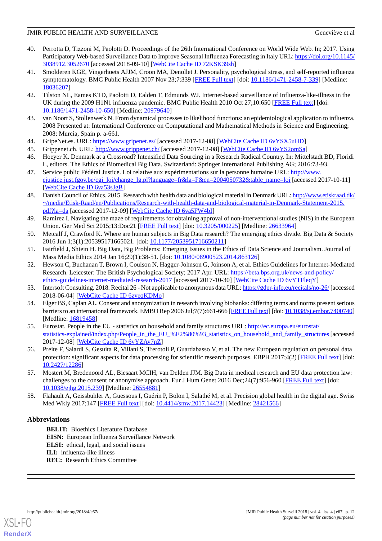- <span id="page-11-1"></span>40. Perrotta D, Tizzoni M, Paolotti D. Proceedings of the 26th International Conference on World Wide Web. In; 2017. Using Participatory Web-based Surveillance Data to Improve Seasonal Influenza Forecasting in Italy URL: [https://doi.org/10.1145/](https://doi.org/10.1145/3038912.3052670) [3038912.3052670](https://doi.org/10.1145/3038912.3052670) [accessed 2018-09-10] [\[WebCite Cache ID 72KSK39sh\]](http://www.webcitation.org/

                                72KSK39sh)
- <span id="page-11-2"></span>41. Smolderen KGE, Vingerhoets AJJM, Croon MA, Denollet J. Personality, psychological stress, and self-reported influenza symptomatology. BMC Public Health 2007 Nov 23;7:339 [[FREE Full text\]](https://bmcpublichealth.biomedcentral.com/articles/10.1186/1471-2458-7-339) [doi: [10.1186/1471-2458-7-339](http://dx.doi.org/10.1186/1471-2458-7-339)] [Medline: [18036207](http://www.ncbi.nlm.nih.gov/entrez/query.fcgi?cmd=Retrieve&db=PubMed&list_uids=18036207&dopt=Abstract)]
- <span id="page-11-3"></span>42. Tilston NL, Eames KTD, Paolotti D, Ealden T, Edmunds WJ. Internet-based surveillance of Influenza-like-illness in the UK during the 2009 H1N1 influenza pandemic. BMC Public Health 2010 Oct 27;10:650 [[FREE Full text](https://bmcpublichealth.biomedcentral.com/articles/10.1186/1471-2458-10-650)] [doi: [10.1186/1471-2458-10-650\]](http://dx.doi.org/10.1186/1471-2458-10-650) [Medline: [20979640\]](http://www.ncbi.nlm.nih.gov/entrez/query.fcgi?cmd=Retrieve&db=PubMed&list_uids=20979640&dopt=Abstract)
- <span id="page-11-5"></span><span id="page-11-4"></span>43. van Noort S, Stollenwerk N. From dynamical processes to likelihood functions: an epidemiological application to influenza. 2008 Presented at: International Conference on Computational and Mathematical Methods in Science and Engineering; 2008; Murcia, Spain p. a-661.
- <span id="page-11-6"></span><span id="page-11-0"></span>44. GripeNet.es. URL: <https://www.gripenet.es/> [accessed 2017-12-08] [[WebCite Cache ID 6vYSX5uHD\]](http://www.webcitation.org/

                                6vYSX5uHD)
- 45. Grippenet.ch. URL: <http://www.grippenet.ch/> [accessed 2017-12-08] [[WebCite Cache ID 6vYS2omSa](http://www.webcitation.org/

                 6vYS2omSa)]
- <span id="page-11-7"></span>46. Hoeyer K. Denmark at a Crossroad? Intensified Data Sourcing in a Research Radical Country. In: Mittelstadt BD, Floridi L, editors. The Ethics of Biomedical Big Data. Switzerland: Springer International Publishing AG; 2016:73-93.
- <span id="page-11-8"></span>47. Service public Fédéral Justice. Loi relative aux expérimentations sur la personne humaine URL: [http://www.](http://www.ejustice.just.fgov.be/cgi_loi/change_lg.pl?language=fr&la=F&cn=2004050732&table_name=loi) [ejustice.just.fgov.be/cgi\\_loi/change\\_lg.pl?language=fr&la=F&cn=2004050732&table\\_name=loi](http://www.ejustice.just.fgov.be/cgi_loi/change_lg.pl?language=fr&la=F&cn=2004050732&table_name=loi) [accessed 2017-10-11] [[WebCite Cache ID 6va53sJgB](http://www.webcitation.org/

                                6va53sJgB)]
- <span id="page-11-9"></span>48. Danish Council of Ethics. 2015. Research with health data and biological material in Denmark URL: [http://www.etiskraad.dk/](http://www.etiskraad.dk/~/media/Etisk-Raad/en/Publications/Research-with-health-data-and-biological-material-in-Denmark-Statement-2015.pdf?la=da) [~/media/Etisk-Raad/en/Publications/Research-with-health-data-and-biological-material-in-Denmark-Statement-2015.](http://www.etiskraad.dk/~/media/Etisk-Raad/en/Publications/Research-with-health-data-and-biological-material-in-Denmark-Statement-2015.pdf?la=da) [pdf?la=da](http://www.etiskraad.dk/~/media/Etisk-Raad/en/Publications/Research-with-health-data-and-biological-material-in-Denmark-Statement-2015.pdf?la=da) [accessed 2017-12-09] [[WebCite Cache ID 6va5FW4bI](http://www.webcitation.org/

                                6va5FW4bI)]
- <span id="page-11-11"></span><span id="page-11-10"></span>49. Ramirez I. Navigating the maze of requirements for obtaining approval of non-interventional studies (NIS) in the European Union. Ger Med Sci 2015;13:Doc21 [\[FREE Full text\]](http://dx.doi.org/10.3205/000225) [doi: [10.3205/000225](http://dx.doi.org/10.3205/000225)] [Medline: [26633964\]](http://www.ncbi.nlm.nih.gov/entrez/query.fcgi?cmd=Retrieve&db=PubMed&list_uids=26633964&dopt=Abstract)
- <span id="page-11-12"></span>50. Metcalf J, Crawford K. Where are human subjects in Big Data research? The emerging ethics divide. Big Data & Society 2016 Jun 1;3(1):205395171665021. [doi: [10.1177/2053951716650211](http://dx.doi.org/10.1177/2053951716650211)]
- 51. Fairfield J, Shtein H. Big Data, Big Problems: Emerging Issues in the Ethics of Data Science and Journalism. Journal of Mass Media Ethics 2014 Jan 16;29(1):38-51. [doi: [10.1080/08900523.2014.863126](http://dx.doi.org/10.1080/08900523.2014.863126)]
- <span id="page-11-14"></span><span id="page-11-13"></span>52. Hewson C, Buchanan T, Brown I, Coulson N, Hagger-Johnson G, Joinson A, et al. Ethics Guidelines for Internet-Mediated Research. Leicester: The British Psychological Society; 2017 Apr. URL: [https://beta.bps.org.uk/news-and-policy/](https://beta.bps.org.uk/news-and-policy/ethics-guidelines-internet-mediated-research-2017) [ethics-guidelines-internet-mediated-research-2017](https://beta.bps.org.uk/news-and-policy/ethics-guidelines-internet-mediated-research-2017) [accessed 2017-10-30] [\[WebCite Cache ID 6vYTFleqY](http://www.webcitation.org/

                                6vYTFleqY)]
- <span id="page-11-15"></span>53. Intersoft Consulting. 2018. Recital 26 - Not applicable to anonymous data URL:<https://gdpr-info.eu/recitals/no-26/> [accessed 2018-06-04] [\[WebCite Cache ID 6zveqKDMo](http://www.webcitation.org/

                                6zveqKDMo)]
- 54. Elger BS, Caplan AL. Consent and anonymization in research involving biobanks: differing terms and norms present serious barriers to an international framework. EMBO Rep 2006 Jul;7(7):661-666 [[FREE Full text](http://embor.embopress.org/cgi/pmidlookup?view=long&pmid=16819458)] [doi: [10.1038/sj.embor.7400740\]](http://dx.doi.org/10.1038/sj.embor.7400740) [Medline: [16819458](http://www.ncbi.nlm.nih.gov/entrez/query.fcgi?cmd=Retrieve&db=PubMed&list_uids=16819458&dopt=Abstract)]
- <span id="page-11-17"></span><span id="page-11-16"></span>55. Eurostat. People in the EU - statistics on household and family structures URL: [http://ec.europa.eu/eurostat/](http://ec.europa.eu/eurostat/statistics-explained/index.php/People_in_the_EU_%E2%80%93_statistics_on_household_and_family_structures) [statistics-explained/index.php/People\\_in\\_the\\_EU\\_%E2%80%93\\_statistics\\_on\\_household\\_and\\_family\\_structures](http://ec.europa.eu/eurostat/statistics-explained/index.php/People_in_the_EU_%E2%80%93_statistics_on_household_and_family_structures) [accessed 2017-12-08] [\[WebCite Cache ID 6vYZAy7nZ\]](http://www.webcitation.org/

                                6vYZAy7nZ)
- <span id="page-11-18"></span>56. Preite F, Salardi S, Gesuita R, Villani S, Trerotoli P, Guardabasso V, et al. The new European regulation on personal data protection: significant aspects for data processing for scientific research purposes. EBPH 2017;4(2) [\[FREE Full text](http://ebph.it/article/view/12286)] [doi: [10.2427/12286\]](http://dx.doi.org/10.2427/12286)
- 57. Mostert M, Bredenoord AL, Biesaart MCIH, van Delden JJM. Big Data in medical research and EU data protection law: challenges to the consent or anonymise approach. Eur J Hum Genet 2016 Dec; 24(7): 956-960 [[FREE Full text](http://dx.doi.org/10.1038/ejhg.2015.239)] [doi: [10.1038/ejhg.2015.239](http://dx.doi.org/10.1038/ejhg.2015.239)] [Medline: [26554881\]](http://www.ncbi.nlm.nih.gov/entrez/query.fcgi?cmd=Retrieve&db=PubMed&list_uids=26554881&dopt=Abstract)
- 58. Flahault A, Geissbuhler A, Guessous I, Guérin P, Bolon I, Salathé M, et al. Precision global health in the digital age. Swiss Med Wkly 2017;147 [[FREE Full text](http://doi.emh.ch/10.4414/smw.2017.14423)] [doi: [10.4414/smw.2017.14423\]](http://dx.doi.org/10.4414/smw.2017.14423) [Medline: [28421566\]](http://www.ncbi.nlm.nih.gov/entrez/query.fcgi?cmd=Retrieve&db=PubMed&list_uids=28421566&dopt=Abstract)

# **Abbreviations**

**BELIT:** Bioethics Literature Database **EISN:** European Influenza Surveillance Network **ELSI:** ethical, legal, and social issues **ILI:** influenza-like illness **REC:** Research Ethics Committee